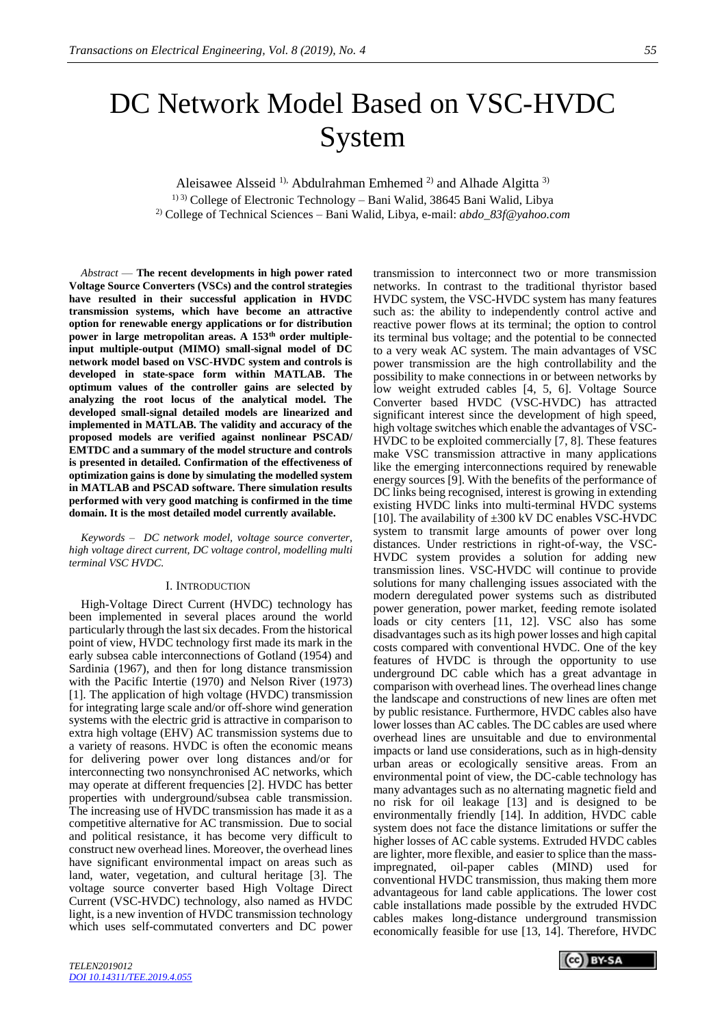# DC Network Model Based on VSC-HVDC System

Aleisawee Alsseid<sup>1),</sup> Abdulrahman Emhemed<sup>2)</sup> and Alhade Algitta<sup>3)</sup>

1) 3) College of Electronic Technology – Bani Walid, 38645 Bani Walid, Libya 2) College of Technical Sciences – Bani Walid, Libya, e-mail: *[abdo\\_83f@yahoo.com](mailto:abdo_83f@yahoo.com2)2)*

*Abstract* — **The recent developments in high power rated Voltage Source Converters (VSCs) and the control strategies have resulted in their successful application in HVDC transmission systems, which have become an attractive option for renewable energy applications or for distribution power in large metropolitan areas. A 153th order multipleinput multiple-output (MIMO) small-signal model of DC network model based on VSC-HVDC system and controls is developed in state-space form within MATLAB. The optimum values of the controller gains are selected by analyzing the root locus of the analytical model. The developed small-signal detailed models are linearized and implemented in MATLAB. The validity and accuracy of the proposed models are verified against nonlinear PSCAD/ EMTDC and a summary of the model structure and controls is presented in detailed. Confirmation of the effectiveness of optimization gains is done by simulating the modelled system in MATLAB and PSCAD software. There simulation results performed with very good matching is confirmed in the time domain. It is the most detailed model currently available.**

*Keywords – DC network model, voltage source converter, high voltage direct current, DC voltage control, modelling multi terminal VSC HVDC.*

#### I. INTRODUCTION

High-Voltage Direct Current (HVDC) technology has been implemented in several places around the world particularly through the last six decades. From the historical point of view, HVDC technology first made its mark in the early subsea cable interconnections of Gotland (1954) and Sardinia (1967), and then for long distance transmission with the Pacific Intertie (1970) and Nelson River (1973) [1]. The application of high voltage (HVDC) transmission for integrating large scale and/or off-shore wind generation systems with the electric grid is attractive in comparison to extra high voltage (EHV) AC transmission systems due to a variety of reasons. HVDC is often the economic means for delivering power over long distances and/or for interconnecting two nonsynchronised AC networks, which may operate at different frequencies [2]. HVDC has better properties with underground/subsea cable transmission. The increasing use of HVDC transmission has made it as a competitive alternative for AC transmission. Due to social and political resistance, it has become very difficult to construct new overhead lines. Moreover, the overhead lines have significant environmental impact on areas such as land, water, vegetation, and cultural heritage [3]. The voltage source converter based High Voltage Direct Current (VSC-HVDC) technology, also named as HVDC light, is a new invention of HVDC transmission technology which uses self-commutated converters and DC power transmission to interconnect two or more transmission networks. In contrast to the traditional thyristor based HVDC system, the VSC-HVDC system has many features such as: the ability to independently control active and reactive power flows at its terminal; the option to control its terminal bus voltage; and the potential to be connected to a very weak AC system. The main advantages of VSC power transmission are the high controllability and the possibility to make connections in or between networks by low weight extruded cables [4, 5, 6]. Voltage Source Converter based HVDC (VSC-HVDC) has attracted significant interest since the development of high speed, high voltage switches which enable the advantages of VSC-HVDC to be exploited commercially [7, 8]. These features make VSC transmission attractive in many applications like the emerging interconnections required by renewable energy sources [9]. With the benefits of the performance of DC links being recognised, interest is growing in extending existing HVDC links into multi-terminal HVDC systems [10]. The availability of  $\pm 300$  kV DC enables VSC-HVDC system to transmit large amounts of power over long distances. Under restrictions in right-of-way, the VSC-HVDC system provides a solution for adding new transmission lines. VSC-HVDC will continue to provide solutions for many challenging issues associated with the modern deregulated power systems such as distributed power generation, power market, feeding remote isolated loads or city centers [11, 12]. VSC also has some disadvantages such as its high power losses and high capital costs compared with conventional HVDC. One of the key features of HVDC is through the opportunity to use underground DC cable which has a great advantage in comparison with overhead lines. The overhead lines change the landscape and constructions of new lines are often met by public resistance. Furthermore, HVDC cables also have lower losses than AC cables. The DC cables are used where overhead lines are unsuitable and due to environmental impacts or land use considerations, such as in high-density urban areas or ecologically sensitive areas. From an environmental point of view, the DC-cable technology has many advantages such as no alternating magnetic field and no risk for oil leakage [13] and is designed to be environmentally friendly [14]. In addition, HVDC cable system does not face the distance limitations or suffer the higher losses of AC cable systems. Extruded HVDC cables are lighter, more flexible, and easier to splice than the massimpregnated, oil-paper cables (MIND) used for conventional HVDC transmission, thus making them more advantageous for land cable applications. The lower cost cable installations made possible by the extruded HVDC cables makes long-distance underground transmission economically feasible for use [13, 14]. Therefore, HVDC

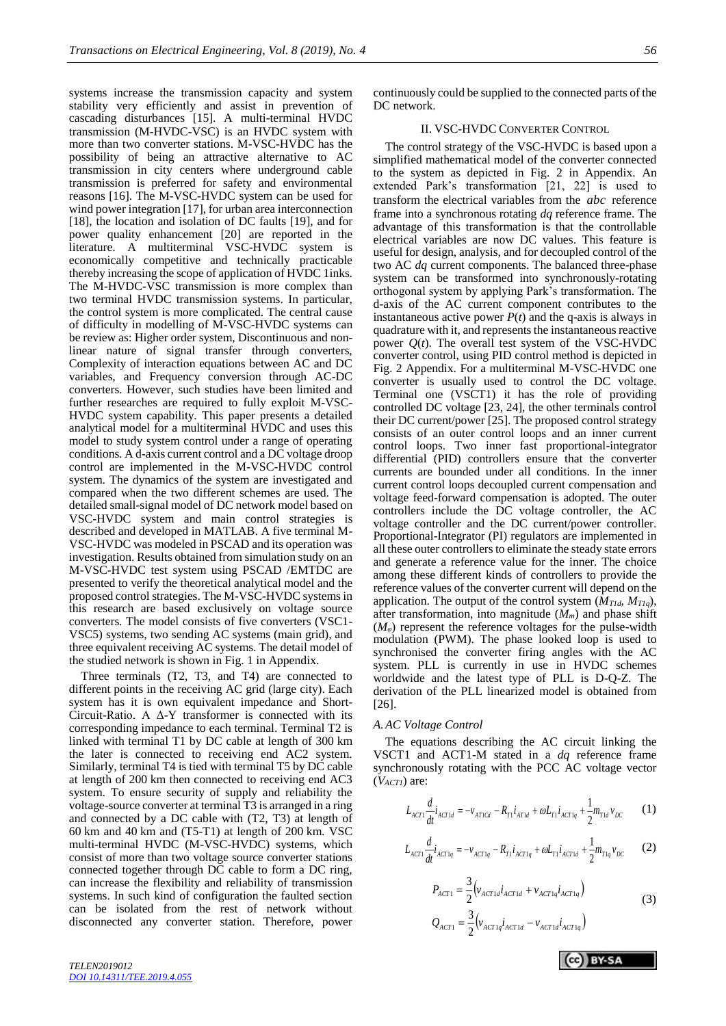systems increase the transmission capacity and system stability very efficiently and assist in prevention of cascading disturbances [15]. A multi-terminal HVDC transmission (M-HVDC-VSC) is an HVDC system with more than two converter stations. M-VSC-HVDC has the possibility of being an attractive alternative to AC transmission in city centers where underground cable transmission is preferred for safety and environmental reasons [16]. The M-VSC-HVDC system can be used for wind power integration [17], for urban area interconnection

[18], the location and isolation of DC faults [19], and for power quality enhancement [20] are reported in the literature. A multiterminal VSC-HVDC system is economically competitive and technically practicable thereby increasing the scope of application of HVDC 1inks. The M-HVDC-VSC transmission is more complex than two terminal HVDC transmission systems. In particular, the control system is more complicated. The central cause of difficulty in modelling of M-VSC-HVDC systems can be review as: Higher order system, Discontinuous and nonlinear nature of signal transfer through converters, Complexity of interaction equations between AC and DC variables, and Frequency conversion through AC-DC converters. However, such studies have been limited and further researches are required to fully exploit M-VSC-HVDC system capability. This paper presents a detailed analytical model for a multiterminal HVDC and uses this model to study system control under a range of operating conditions. A d-axis current control and a DC voltage droop control are implemented in the M-VSC-HVDC control system. The dynamics of the system are investigated and compared when the two different schemes are used. The detailed small-signal model of DC network model based on VSC-HVDC system and main control strategies is described and developed in MATLAB. A five terminal M-VSC-HVDC was modeled in PSCAD and its operation was investigation. Results obtained from simulation study on an M-VSC-HVDC test system using PSCAD /EMTDC are presented to verify the theoretical analytical model and the proposed control strategies. The M-VSC-HVDC systems in this research are based exclusively on voltage source converters. The model consists of five converters (VSC1- VSC5) systems, two sending AC systems (main grid), and three equivalent receiving AC systems. The detail model of the studied network is shown in Fig. 1 in Appendix.

Three terminals (T2, T3, and T4) are connected to different points in the receiving AC grid (large city). Each system has it is own equivalent impedance and Short-Circuit-Ratio. A Δ-Y transformer is connected with its corresponding impedance to each terminal. Terminal T2 is linked with terminal T1 by DC cable at length of 300 km the later is connected to receiving end AC2 system. Similarly, terminal T4 is tied with terminal T5 by DC cable at length of 200 km then connected to receiving end AC3 system. To ensure security of supply and reliability the voltage-source converter at terminal T3 is arranged in a ring and connected by a DC cable with (T2, T3) at length of 60 km and 40 km and (T5-T1) at length of 200 km. VSC multi-terminal HVDC (M-VSC-HVDC) systems, which consist of more than two voltage source converter stations connected together through DC cable to form a DC ring, can increase the flexibility and reliability of transmission systems. In such kind of configuration the faulted section can be isolated from the rest of network without disconnected any converter station. Therefore, power

## II. VSC-HVDC CONVERTER CONTROL

The control strategy of the VSC-HVDC is based upon a simplified mathematical model of the converter connected to the system as depicted in Fig. 2 in Appendix. An extended Park's transformation [21, 22] is used to transform the electrical variables from the *abc* reference frame into a synchronous rotating *dq* reference frame. The advantage of this transformation is that the controllable electrical variables are now DC values. This feature is useful for design, analysis, and for decoupled control of the two AC *dq* current components. The balanced three-phase system can be transformed into synchronously-rotating orthogonal system by applying Park's transformation. The d-axis of the AC current component contributes to the instantaneous active power  $P(t)$  and the q-axis is always in quadrature with it, and represents the instantaneous reactive power  $Q(t)$ . The overall test system of the VSC-HVDC converter control, using PID control method is depicted in Fig. 2 Appendix. For a multiterminal M-VSC-HVDC one converter is usually used to control the DC voltage. Terminal one (VSCT1) it has the role of providing controlled DC voltage [23, 24], the other terminals control their DC current/power [25]. The proposed control strategy consists of an outer control loops and an inner current control loops. Two inner fast proportional-integrator differential (PID) controllers ensure that the converter currents are bounded under all conditions. In the inner current control loops decoupled current compensation and voltage feed-forward compensation is adopted. The outer controllers include the DC voltage controller, the AC voltage controller and the DC current/power controller. Proportional-Integrator (PI) regulators are implemented in all these outer controllers to eliminate the steady state errors and generate a reference value for the inner. The choice among these different kinds of controllers to provide the reference values of the converter current will depend on the application. The output of the control system  $(M_{T1d}, M_{T1d})$ , after transformation, into magnitude  $(M_m)$  and phase shift  $(M_{\varphi})$  represent the reference voltages for the pulse-width modulation (PWM). The phase looked loop is used to synchronised the converter firing angles with the AC system. PLL is currently in use in HVDC schemes worldwide and the latest type of PLL is D-Q-Z. The derivation of the PLL linearized model is obtained from [26].

#### *A.AC Voltage Control*

The equations describing the AC circuit linking the VSCT1 and ACT1-M stated in a *dq* reference frame synchronously rotating with the PCC AC voltage vector (*VACT1*) are:

$$
L_{ACT1} \frac{d}{dt} i_{ACT1d} = -v_{AT1Cd} - R_{T1} i_{AT1d} + \omega L_{T1} i_{ACT1q} + \frac{1}{2} m_{T1d} v_{DC}
$$
 (1)

$$
L_{ACT1} \frac{d}{dt} i_{ACT1q} = -v_{ACT1q} - R_{T1} i_{ACT1q} + \omega L_{T1} i_{ACT1d} + \frac{1}{2} m_{T1q} v_{DC}
$$
 (2)

$$
P_{ACT1} = \frac{3}{2} \left( v_{ACT1d} i_{ACT1d} + v_{ACT1q} i_{ACT1q} \right)
$$
  
\n
$$
Q_{ACT1} = \frac{3}{2} \left( v_{ACT1q} i_{ACT1d} - v_{ACT1d} i_{ACT1q} \right)
$$
\n(3)

**CC** BY-SA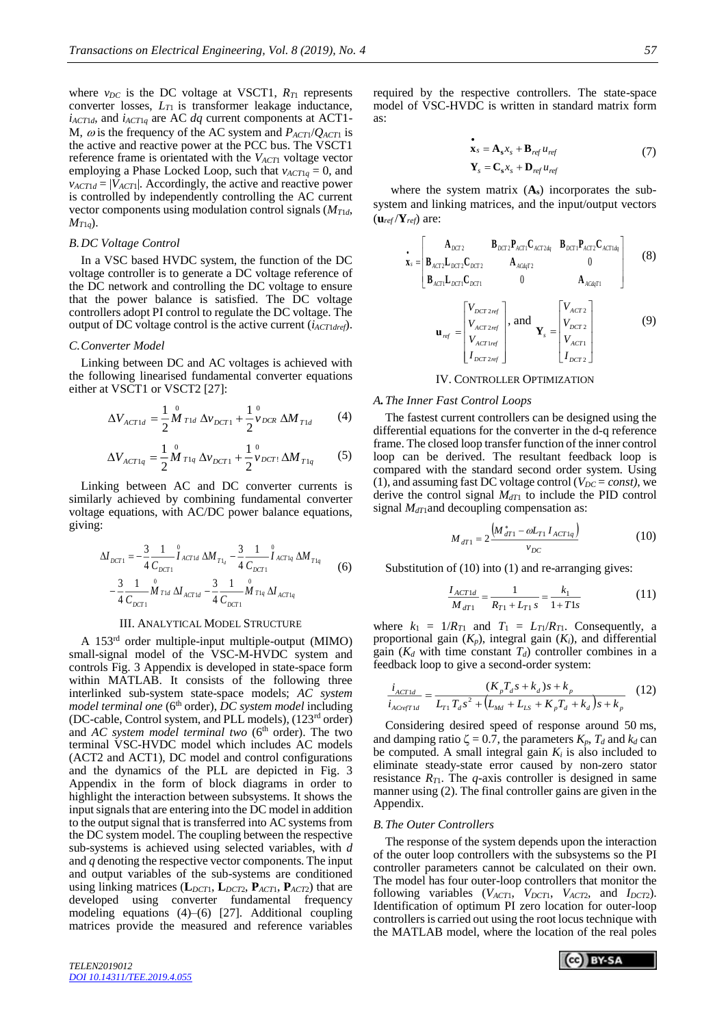where  $v_{DC}$  is the DC voltage at VSCT1,  $R_{T1}$  represents converter losses, *LT*<sup>1</sup> is transformer leakage inductance,  $i_{\text{ACT1d}}$ , and  $i_{\text{ACT1d}}$  are AC *dq* current components at ACT1-M,  $\omega$  is the frequency of the AC system and  $P_{ACT1}/Q_{ACT1}$  is the active and reactive power at the PCC bus. The VSCT1 reference frame is orientated with the *VACT*<sup>1</sup> voltage vector employing a Phase Locked Loop, such that  $v_{\text{ACT1}q} = 0$ , and  $v_{ACT1d} = |V_{ACT1}|$ . Accordingly, the active and reactive power is controlled by independently controlling the AC current vector components using modulation control signals (*MT*1*d*,  $M_{T1q}$ ).

#### *B.DC Voltage Control*

In a VSC based HVDC system, the function of the DC voltage controller is to generate a DC voltage reference of the DC network and controlling the DC voltage to ensure that the power balance is satisfied. The DC voltage controllers adopt PI control to regulate the DC voltage. The output of DC voltage control is the active current (*iACT*1*dref*).

#### *C.Converter Model*

Linking between DC and AC voltages is achieved with the following linearised fundamental converter equations either at VSCT1 or VSCT2 [27]:

$$
\Delta V_{ACT1d} = \frac{1}{2} \stackrel{0}{M}_{T1d} \Delta v_{DCT1} + \frac{1}{2} \stackrel{0}{v}_{DCR} \Delta M_{T1d} \tag{4}
$$

$$
\Delta V_{ACT1q} = \frac{1}{2} \stackrel{0}{M}_{T1q} \Delta v_{DCT1} + \frac{1}{2} \stackrel{0}{v}_{DCT1} \Delta M_{T1q} \tag{5}
$$

Linking between AC and DC converter currents is similarly achieved by combining fundamental converter voltage equations, with AC/DC power balance equations, giving:

$$
\Delta I_{DCT1} = -\frac{3}{4} \frac{1}{C_{DCT1}} \int_{ACT1d}^{0} \Delta M_{T1_d} - \frac{3}{4} \frac{1}{C_{DCT1}} \int_{ACT1q}^{0} \Delta M_{T1q} - \frac{3}{4} \frac{1}{C_{DCT1}} \int_{ACT1q}^{0} \Delta M_{T1q} - \frac{3}{4} \frac{1}{C_{DCT1}} \int_{ACT1q}^{0} \Delta T_{P1q} \Delta T_{ACT1q}
$$
 (6)

#### III. ANALYTICAL MODEL STRUCTURE

A 153rd order multiple-input multiple-output (MIMO) small-signal model of the VSC-M-HVDC system and controls Fig. 3 Appendix is developed in state-space form within MATLAB. It consists of the following three interlinked sub-system state-space models; *AC system model terminal one* (6<sup>th</sup> order), *DC system model* including (DC-cable, Control system, and PLL models), (123rd order) and *AC system model terminal two* (6<sup>th</sup> order). The two terminal VSC-HVDC model which includes AC models (ACT2 and ACT1), DC model and control configurations and the dynamics of the PLL are depicted in Fig. 3 Appendix in the form of block diagrams in order to highlight the interaction between subsystems. It shows the input signals that are entering into the DC model in addition to the output signal that is transferred into AC systems from the DC system model. The coupling between the respective sub-systems is achieved using selected variables, with *d* and *q* denoting the respective vector components. The input and output variables of the sub-systems are conditioned using linking matrices (**L***DCT*1, **L***DCT*2, **P***ACT*1, **P***ACT*2) that are developed using converter fundamental frequency modeling equations  $(4)$ – $(6)$  [27]. Additional coupling matrices provide the measured and reference variables

required by the respective controllers. The state-space model of VSC-HVDC is written in standard matrix form as:

$$
\begin{aligned} \n\dot{\mathbf{x}}_s &= \mathbf{A}_s x_s + \mathbf{B}_{ref} u_{ref} \\ \n\dot{\mathbf{Y}}_s &= \mathbf{C}_s x_s + \mathbf{D}_{ref} u_{ref} \n\end{aligned} \tag{7}
$$

where the system matrix  $(A_s)$  incorporates the subsystem and linking matrices, and the input/output vectors  $(\mathbf{u}_{ref} / \mathbf{Y}_{ref})$  are:

$$
\mathbf{x}_{s} = \begin{bmatrix}\nA_{DCT2} & B_{DCT2}P_{ACT1}C_{ACT2dq} & B_{DCT1}P_{ACT2}C_{ACT1dq} \\
B_{ACT2}L_{DCT2}C_{DCT2} & A_{ACdqT2} & 0 \\
B_{ACT1}L_{DCT1}C_{DCT1} & 0 & A_{ACdqT1}\n\end{bmatrix}
$$
\n
$$
\mathbf{u}_{ref} = \begin{bmatrix}\nV_{DCT2ref} \\
V_{ACT2ref} \\
V_{ACT1ref} \\
V_{DCT2ref} \\
I_{DCT2ref}\n\end{bmatrix}, \text{ and } \mathbf{Y}_{s} = \begin{bmatrix}\nV_{ACT2} \\
V_{DCT2} \\
V_{ACT1} \\
V_{DCT2}\n\end{bmatrix}
$$
\n(9)

## IV. CONTROLLER OPTIMIZATION

#### *A.The Inner Fast Control Loops*

The fastest current controllers can be designed using the differential equations for the converter in the d-q reference frame. The closed loop transfer function of the inner control loop can be derived. The resultant feedback loop is compared with the standard second order system. Using (1), and assuming fast DC voltage control ( $V_{DC} = const$ ), we derive the control signal *MdT*<sup>1</sup> to include the PID control signal  $M<sub>dT1</sub>$ and decoupling compensation as:

$$
M_{dT1} = 2 \frac{\left(M_{dT1}^* - \omega L_{T1} I_{ACT1q}\right)}{v_{DC}}
$$
(10)

Substitution of (10) into (1) and re-arranging gives:

$$
\frac{I_{ACT1d}}{M_{dT1}} = \frac{1}{R_{T1} + L_{T1} s} = \frac{k_1}{1 + T1s}
$$
(11)

where  $k_1 = 1/R_{T1}$  and  $T_1 = L_{T1}/R_{T1}$ . Consequently, a proportional gain  $(K_p)$ , integral gain  $(K_i)$ , and differential gain  $(K_d$  with time constant  $T_d$ ) controller combines in a feedback loop to give a second-order system:

$$
\frac{i_{ACT1d}}{i_{ACref1d}} = \frac{(K_p T_d s + k_d) s + k_p}{L_{T1} T_d s^2 + (L_{Md} + L_{LS} + K_p T_d + k_d) s + k_p}
$$
(12)

Considering desired speed of response around 50 ms, and damping ratio  $\zeta = 0.7$ , the parameters  $K_p$ ,  $T_d$  and  $k_d$  can be computed. A small integral gain  $K_i$  is also included to eliminate steady-state error caused by non-zero stator resistance  $R_{T1}$ . The *q*-axis controller is designed in same manner using (2). The final controller gains are given in the Appendix.

#### *B.The Outer Controllers*

The response of the system depends upon the interaction of the outer loop controllers with the subsystems so the PI controller parameters cannot be calculated on their own. The model has four outer-loop controllers that monitor the following variables  $(V_{ACT1}, V_{DCT1}, V_{ACT2}, \text{and } I_{DCT2})$ . Identification of optimum PI zero location for outer-loop controllers is carried out using the root locus technique with the MATLAB model, where the location of the real poles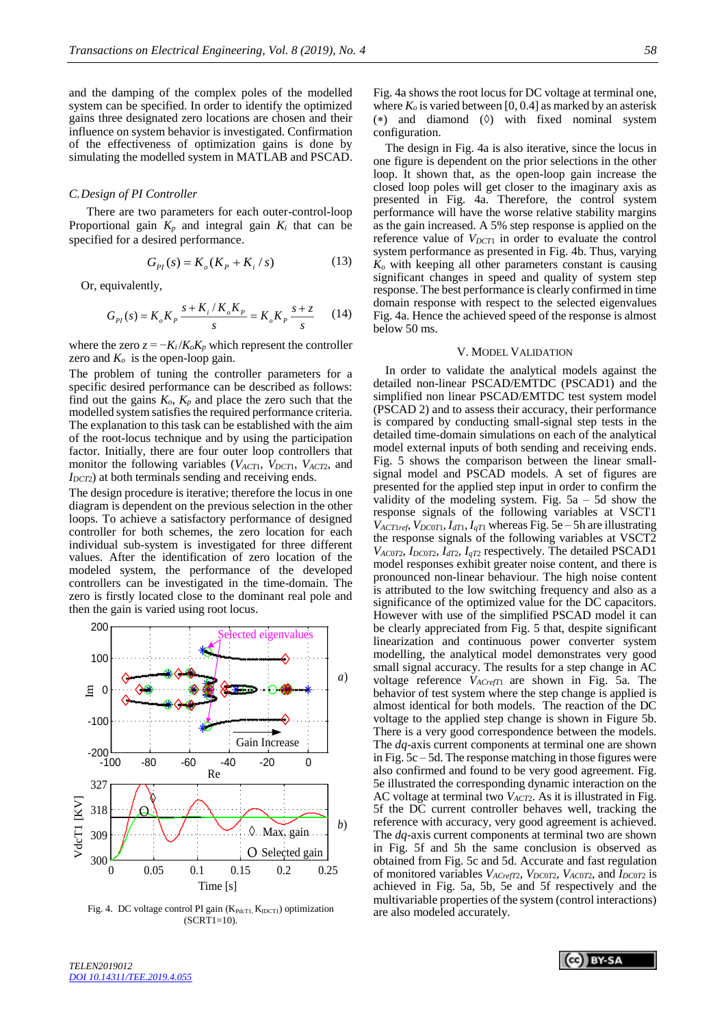and the damping of the complex poles of the modelled system can be specified. In order to identify the optimized gains three designated zero locations are chosen and their influence on system behavior is investigated. Confirmation of the effectiveness of optimization gains is done by simulating the modelled system in MATLAB and PSCAD.

#### *C.Design of PI Controller*

There are two parameters for each outer-control-loop Proportional gain  $K_p$  and integral gain  $K_i$  that can be specified for a desired performance.

$$
G_{PI}(s) = K_o(K_p + K_i / s)
$$
 (13)

Or, equivalently,

$$
G_{PI}(s) = K_o K_p \frac{s + K_i / K_o K_p}{s} = K_o K_p \frac{s + z}{s}
$$
 (14)

where the zero  $z = -K_i/K_oK_p$  which represent the controller zero and  $K<sub>o</sub>$  is the open-loop gain.

The problem of tuning the controller parameters for a specific desired performance can be described as follows: find out the gains  $K_o$ ,  $K_p$  and place the zero such that the modelled system satisfies the required performance criteria. The explanation to this task can be established with the aim of the root-locus technique and by using the participation factor. Initially, there are four outer loop controllers that monitor the following variables (*VACT*1, *VDCT*1, *VACT*2, and *I*<sub>*DCT2</sub>*) at both terminals sending and receiving ends.</sub>

The design procedure is iterative; therefore the locus in one diagram is dependent on the previous selection in the other loops. To achieve a satisfactory performance of designed controller for both schemes, the zero location for each individual sub-system is investigated for three different values. After the identification of zero location of the modeled system, the performance of the developed controllers can be investigated in the time-domain. The zero is firstly located close to the dominant real pole and then the gain is varied using root locus.



Fig. 4. DC voltage control PI gain  $(K_{PdcT1}, K_{IDCT1})$  optimization  $(SCRT1=10)$ .

Fig. 4a shows the root locus for DC voltage at terminal one, where  $K<sub>o</sub>$  is varied between [0, 0.4] as marked by an asterisk (\*) and diamond  $(\Diamond)$  with fixed nominal system configuration.

The design in Fig. 4a is also iterative, since the locus in one figure is dependent on the prior selections in the other loop. It shown that, as the open-loop gain increase the closed loop poles will get closer to the imaginary axis as presented in Fig. 4a. Therefore, the control system performance will have the worse relative stability margins as the gain increased. A 5% step response is applied on the reference value of  $V_{DCT1}$  in order to evaluate the control system performance as presented in Fig. 4b. Thus, varying *K<sup>o</sup>* with keeping all other parameters constant is causing significant changes in speed and quality of system step response. The best performance is clearly confirmed in time domain response with respect to the selected eigenvalues Fig. 4a. Hence the achieved speed of the response is almost below 50 ms.

## V. MODEL VALIDATION

In order to validate the analytical models against the detailed non-linear PSCAD/EMTDC (PSCAD1) and the simplified non linear PSCAD/EMTDC test system model (PSCAD 2) and to assess their accuracy, their performance is compared by conducting small-signal step tests in the detailed time-domain simulations on each of the analytical model external inputs of both sending and receiving ends. Fig. 5 shows the comparison between the linear smallsignal model and PSCAD models. A set of figures are presented for the applied step input in order to confirm the validity of the modeling system. Fig.  $5a - 5d$  show the response signals of the following variables at VSCT1  $V_{ACT1ref}$ ,  $V_{DC0T1}$ ,  $I_{dT1}$ ,  $I_{qT1}$  whereas Fig. 5e – 5h are illustrating the response signals of the following variables at VSCT2  $V_{AC0T2}$ ,  $I_{DC0T2}$ ,  $I_{dT2}$ ,  $I_{qT2}$  respectively. The detailed PSCAD1 model responses exhibit greater noise content, and there is pronounced non-linear behaviour. The high noise content is attributed to the low switching frequency and also as a significance of the optimized value for the DC capacitors. However with use of the simplified PSCAD model it can be clearly appreciated from Fig. 5 that, despite significant linearization and continuous power converter system modelling, the analytical model demonstrates very good small signal accuracy. The results for a step change in AC *a*) voltage reference  $V_{ACrefT1}$  are shown in Fig. 5a. The behavior of test system where the step change is applied is almost identical for both models. The reaction of the DC voltage to the applied step change is shown in Figure 5b. There is a very good correspondence between the models. The *dq*-axis current components at terminal one are shown in Fig. 5c – 5d. The response matching in those figures were also confirmed and found to be very good agreement. Fig. 5e illustrated the corresponding dynamic interaction on the AC voltage at terminal two *V<sub>ACT2</sub>*. As it is illustrated in Fig. 5f the DC current controller behaves well, tracking the reference with accuracy, very good agreement is achieved. The *dq*-axis current components at terminal two are shown in Fig. 5f and 5h the same conclusion is observed as obtained from Fig. 5c and 5d. Accurate and fast regulation of monitored variables  $V_{ACrefT2}$ ,  $V_{DC0T2}$ ,  $V_{AC0T2}$ , and  $I_{DC0T2}$  is achieved in Fig. 5a, 5b, 5e and 5f respectively and the multivariable properties of the system (control interactions) are also modeled accurately.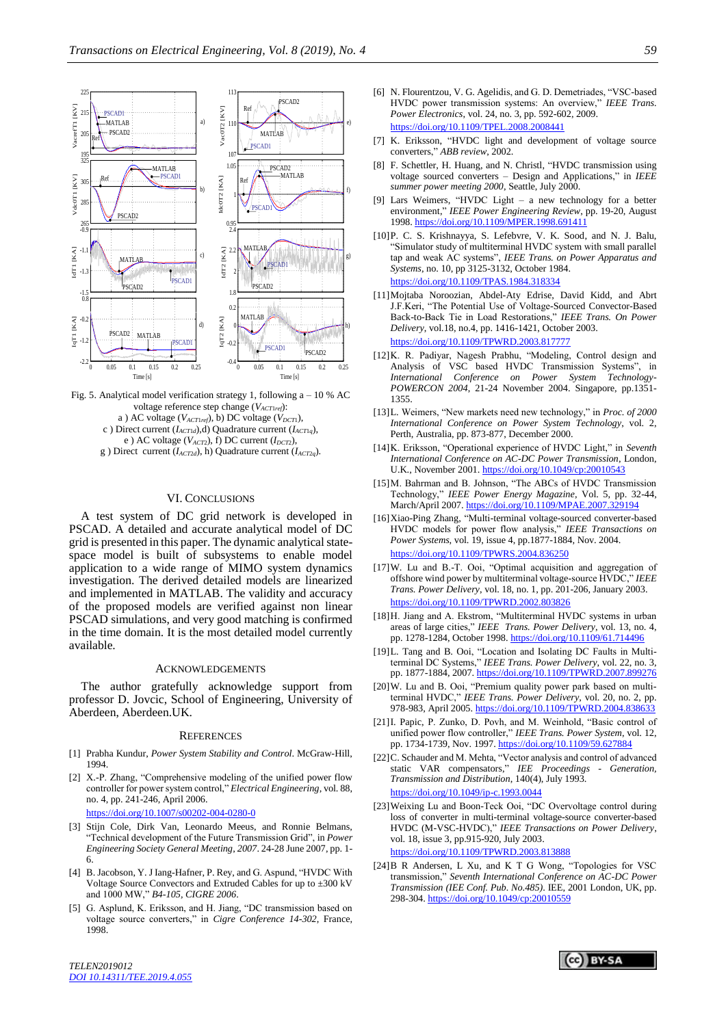

Fig. 5. Analytical model verification strategy 1, following  $a - 10$  % AC voltage reference step change (*VACT*1*ref*): a ) AC voltage (*VACT*1*ref*), b) DC voltage (*VDCT*1), c ) Direct current (*IACT*1*d*),d) Quadrature current (*IACT*1*q*), e ) AC voltage (*VACT*2), f) DC current (*IDCT*2), g ) Direct current (*IACT*2*d*), h) Quadrature current (*IACT*2*q*).

## VI. CONCLUSIONS

A test system of DC grid network is developed in PSCAD. A detailed and accurate analytical model of DC grid is presented in this paper. The dynamic analytical statespace model is built of subsystems to enable model application to a wide range of MIMO system dynamics investigation. The derived detailed models are linearized and implemented in MATLAB. The validity and accuracy of the proposed models are verified against non linear PSCAD simulations, and very good matching is confirmed in the time domain. It is the most detailed model currently available.

#### **ACKNOWLEDGEMENTS**

The author gratefully acknowledge support from professor D. Jovcic, School of Engineering, University of Aberdeen, Aberdeen.UK.

#### **REFERENCES**

- [1] Prabha Kundur, *Power System Stability and Control*. McGraw-Hill, 1994.
- [2] X.-P. Zhang, "Comprehensive modeling of the unified power flow controller for power system control," *Electrical Engineering*, vol. 88, no. 4, pp. 241-246, April 2006.

<https://doi.org/10.1007/s00202-004-0280-0>

- [3] Stijn Cole, Dirk Van, Leonardo Meeus, and Ronnie Belmans, "Technical development of the Future Transmission Grid", in *Power Engineering Society General Meeting*, *2007*. 24-28 June 2007, pp. 1- 6.
- [4] B. Jacobson, Y. J Iang-Hafner, P. Rey, and G. Aspund, "HVDC With Voltage Source Convectors and Extruded Cables for up to ±300 kV and 1000 MW," *B4-105, CIGRE 2006*.
- [5] G. Asplund, K. Eriksson, and H. Jiang, "DC transmission based on voltage source converters," in *Cigre Conference 14-302*, France, 1998.
- [6] N. Flourentzou, V. G. Agelidis, and G. D. Demetriades, "VSC-based HVDC power transmission systems: An overview," *IEEE Trans. Power Electronics*, vol. 24, no. 3, pp. 592-602, 2009. <https://doi.org/10.1109/TPEL.2008.2008441>
- [7] K. Eriksson, "HVDC light and development of voltage source converters," *ABB review*, 2002.
- [8] F. Schettler, H. Huang, and N. Christl, "HVDC transmission using voltage sourced converters – Design and Applications," in *IEEE summer power meeting 2000*, Seattle, July 2000.
- [9] Lars Weimers, "HVDC Light a new technology for a better environment," *IEEE Power Engineering Review*, pp. 19-20, August 1998. <https://doi.org/10.1109/MPER.1998.691411>
- [10]P. C. S. Krishnayya, S. Lefebvre, V. K. Sood, and N. J. Balu, "Simulator study of multiterminal HVDC system with small parallel tap and weak AC systems", *IEEE Trans. on Power Apparatus and Systems*, no. 10, pp 3125-3132, October 1984. <https://doi.org/10.1109/TPAS.1984.318334>
- [11]Mojtaba Noroozian, Abdel-Aty Edrise, David Kidd, and Abrt J.F.Keri, "The Potential Use of Voltage-Sourced Convector-Based Back-to-Back Tie in Load Restorations," *IEEE Trans. On Power Delivery*, vol.18, no.4, pp. 1416-1421, October 2003. <https://doi.org/10.1109/TPWRD.2003.817777>
- [12]K. R. Padiyar, Nagesh Prabhu, "Modeling, Control design and Analysis of VSC based HVDC Transmission Systems", in *International Conference on Power System Technology-POWERCON 2004*, 21-24 November 2004. Singapore, pp.1351- 1355.
- [13]L. Weimers, "New markets need new technology," in *Proc. of 2000 International Conference on Power System Technology*, vol. 2, Perth, Australia, pp. 873-877, December 2000.
- [14]K. Eriksson, "Operational experience of HVDC Light," in *Seventh International Conference on AC-DC Power Transmission*, London, U.K., November 2001. <https://doi.org/10.1049/cp:20010543>
- [15] M. Bahrman and B. Johnson, "The ABCs of HVDC Transmission Technology," *IEEE Power Energy Magazine*, Vol. 5, pp. 32-44, March/April 2007. <https://doi.org/10.1109/MPAE.2007.329194>
- [16]Xiao-Ping Zhang, "Multi-terminal voltage-sourced converter-based HVDC models for power flow analysis," *IEEE Transactions on Power Systems*, vol. 19, issue 4, pp.1877-1884, Nov. 2004. <https://doi.org/10.1109/TPWRS.2004.836250>
- [17]W. Lu and B.-T. Ooi, "Optimal acquisition and aggregation of offshore wind power by multiterminal voltage-source HVDC," *IEEE Trans. Power Delivery*, vol. 18, no. 1, pp. 201-206, January 2003. <https://doi.org/10.1109/TPWRD.2002.803826>
- [18]H. Jiang and A. Ekstrom, "Multiterminal HVDC systems in urban areas of large cities," *IEEE Trans. Power Delivery*, vol. 13, no. 4, pp. 1278-1284, October 1998. <https://doi.org/10.1109/61.714496>
- [19]L. Tang and B. Ooi, "Location and Isolating DC Faults in Multiterminal DC Systems," *IEEE Trans. Power Delivery*, vol. 22, no. 3, pp. 1877-1884, 2007. <https://doi.org/10.1109/TPWRD.2007.899276>
- [20]W. Lu and B. Ooi, "Premium quality power park based on multiterminal HVDC," *IEEE Trans. Power Delivery*, vol. 20, no. 2, pp. 978-983, April 2005. <https://doi.org/10.1109/TPWRD.2004.838633>
- [21]I. Papic, P. Zunko, D. Povh, and M. Weinhold, "Basic control of unified power flow controller," *IEEE Trans. Power System*, vol. 12, pp. 1734-1739, Nov. 1997. <https://doi.org/10.1109/59.627884>
- [22]C. Schauder and M. Mehta, "Vector analysis and control of advanced static VAR compensators," *IEE Proceedings - Generation, Transmission and Distribution*, 140(4), July 1993. <https://doi.org/10.1049/ip-c.1993.0044>
- [23]Weixing Lu and Boon-Teck Ooi, "DC Overvoltage control during loss of converter in multi-terminal voltage-source converter-based HVDC (M-VSC-HVDC)," *IEEE Transactions on Power Delivery*, vol. 18, issue 3, pp.915-920, July 2003. <https://doi.org/10.1109/TPWRD.2003.813888>
- [24]B R Andersen, L Xu, and K T G Wong, "Topologies for VSC transmission," *Seventh International Conference on AC-DC Power Transmission (IEE Conf. Pub. No.485)*. IEE, 2001 London, UK, pp. 298-304. <https://doi.org/10.1049/cp:20010559>

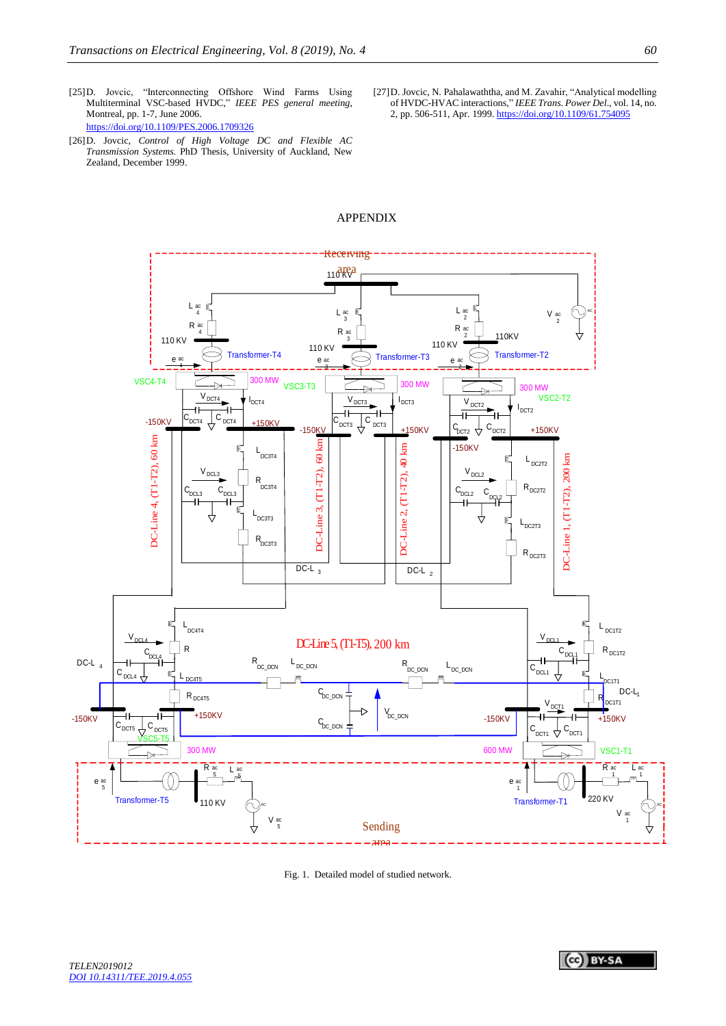- [25]D. Jovcic, "Interconnecting Offshore Wind Farms Using Multiterminal VSC-based HVDC," *IEEE PES general meeting*, Montreal, pp. 1-7, June 2006. <https://doi.org/10.1109/PES.2006.1709326>
- [26]D. Jovcic, *Control of High Voltage DC and Flexible AC Transmission Systems.* PhD Thesis, University of Auckland, New Zealand, December 1999.
- [27]D. Jovcic, N. Pahalawaththa, and M. Zavahir, "Analytical modelling of HVDC-HVAC interactions," *IEEE Trans. Power Del*., vol. 14, no. 2, pp. 506-511, Apr. 1999. <https://doi.org/10.1109/61.754095>



# APPENDIX

Fig. 1. Detailed model of studied network.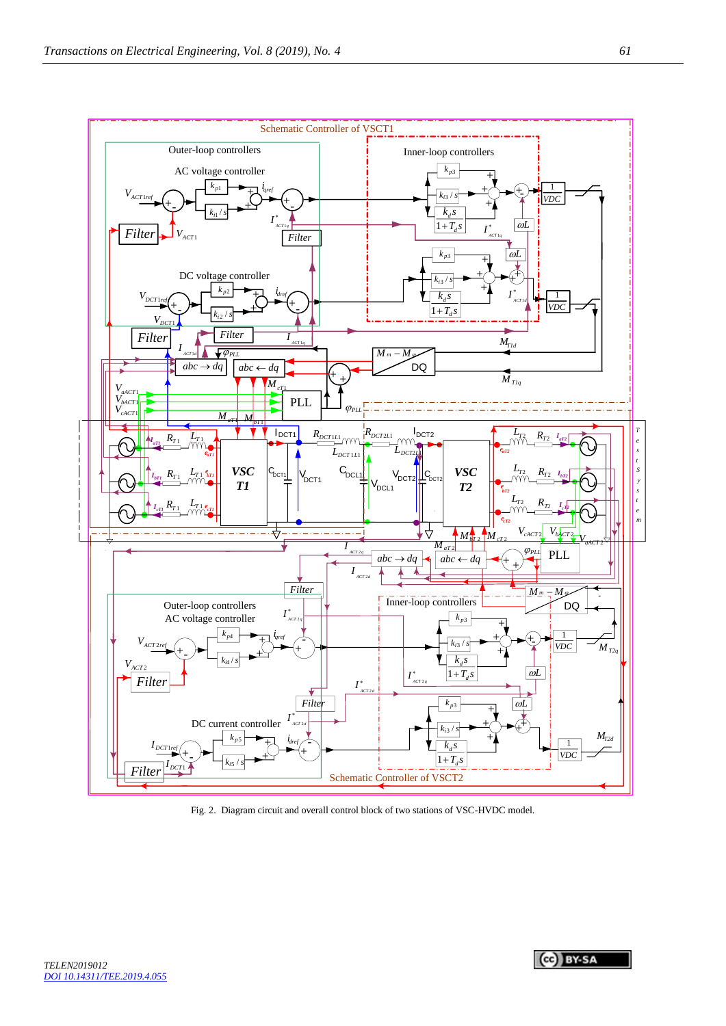

Fig. 2. Diagram circuit and overall control block of two stations of VSC-HVDC model.